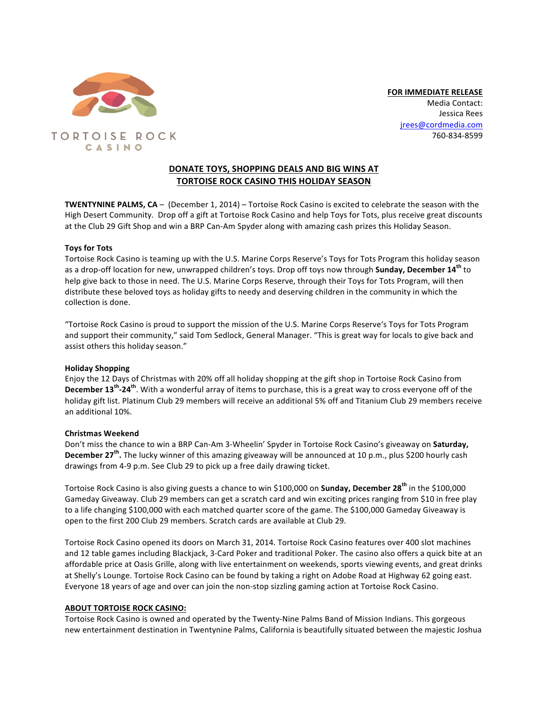

# **DONATE TOYS, SHOPPING DEALS AND BIG WINS AT TORTOISE ROCK CASINO THIS HOLIDAY SEASON**

**TWENTYNINE PALMS, CA** – (December 1, 2014) – Tortoise Rock Casino is excited to celebrate the season with the High Desert Community. Drop off a gift at Tortoise Rock Casino and help Toys for Tots, plus receive great discounts at the Club 29 Gift Shop and win a BRP Can-Am Spyder along with amazing cash prizes this Holiday Season.

## **Toys for Tots**

Tortoise Rock Casino is teaming up with the U.S. Marine Corps Reserve's Toys for Tots Program this holiday season as a drop-off location for new, unwrapped children's toys. Drop off toys now through **Sunday, December 14<sup>th</sup>** to help give back to those in need. The U.S. Marine Corps Reserve, through their Toys for Tots Program, will then distribute these beloved toys as holiday gifts to needy and deserving children in the community in which the collection is done.

"Tortoise Rock Casino is proud to support the mission of the U.S. Marine Corps Reserve's Toys for Tots Program and support their community," said Tom Sedlock, General Manager. "This is great way for locals to give back and assist others this holiday season."

## **Holiday Shopping**

Enjoy the 12 Days of Christmas with 20% off all holiday shopping at the gift shop in Tortoise Rock Casino from **December 13<sup>th</sup>-24<sup>th</sup>**. With a wonderful array of items to purchase, this is a great way to cross everyone off of the holiday gift list. Platinum Club 29 members will receive an additional 5% off and Titanium Club 29 members receive an additional 10%. 

## **Christmas Weekend**

Don't miss the chance to win a BRP Can-Am 3-Wheelin' Spyder in Tortoise Rock Casino's giveaway on Saturday, **December 27<sup>th</sup>.** The lucky winner of this amazing giveaway will be announced at 10 p.m., plus \$200 hourly cash drawings from 4-9 p.m. See Club 29 to pick up a free daily drawing ticket.

Tortoise Rock Casino is also giving guests a chance to win \$100,000 on **Sunday, December 28<sup>th</sup>** in the \$100,000 Gameday Giveaway. Club 29 members can get a scratch card and win exciting prices ranging from \$10 in free play to a life changing \$100,000 with each matched quarter score of the game. The \$100,000 Gameday Giveaway is open to the first 200 Club 29 members. Scratch cards are available at Club 29.

Tortoise Rock Casino opened its doors on March 31, 2014. Tortoise Rock Casino features over 400 slot machines and 12 table games including Blackjack, 3-Card Poker and traditional Poker. The casino also offers a quick bite at an affordable price at Oasis Grille, along with live entertainment on weekends, sports viewing events, and great drinks at Shelly's Lounge. Tortoise Rock Casino can be found by taking a right on Adobe Road at Highway 62 going east. Everyone 18 years of age and over can join the non-stop sizzling gaming action at Tortoise Rock Casino.

## **ABOUT TORTOISE ROCK CASINO:**

Tortoise Rock Casino is owned and operated by the Twenty-Nine Palms Band of Mission Indians. This gorgeous new entertainment destination in Twentynine Palms, California is beautifully situated between the majestic Joshua